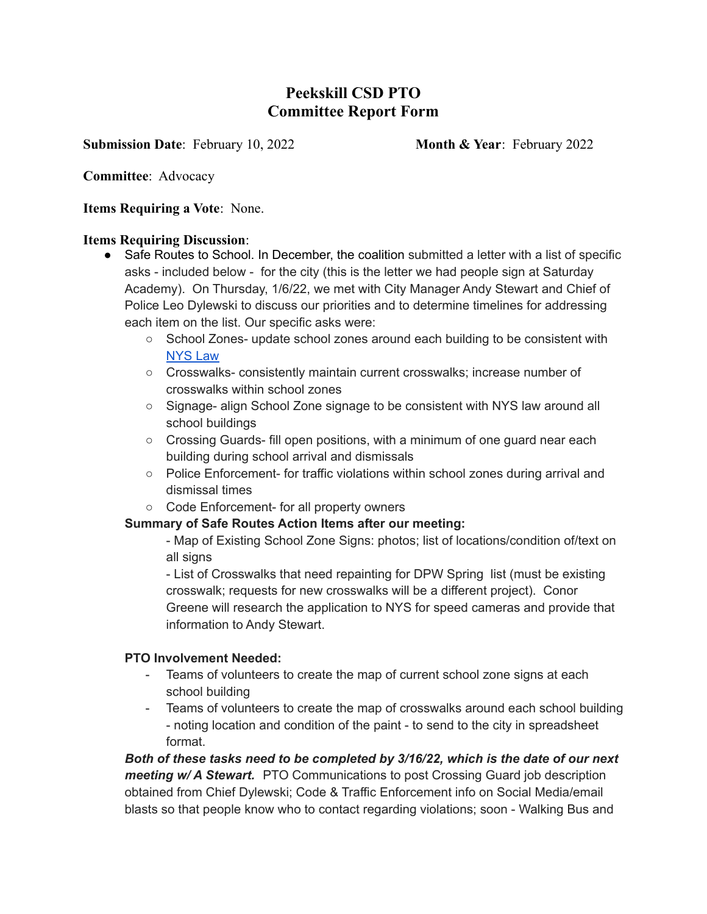# **Peekskill CSD PTO Committee Report Form**

**Submission Date: February 10, 2022 Month & Year: February 2022** 

**Committee**: Advocacy

**Items Requiring a Vote**: None.

#### **Items Requiring Discussion**:

- Safe Routes to School. In December, the coalition submitted a letter with a list of specific asks - included below - for the city (this is the letter we had people sign at Saturday Academy). On Thursday, 1/6/22, we met with City Manager Andy Stewart and Chief of Police Leo Dylewski to discuss our priorities and to determine timelines for addressing each item on the list. Our specific asks were:
	- School Zones- update school zones around each building to be consistent with [NYS](https://www.dot.ny.gov/about-nysdot/faq/posing-speed-limit-within-a-school-zone) Law
	- Crosswalks- consistently maintain current crosswalks; increase number of crosswalks within school zones
	- Signage- align School Zone signage to be consistent with NYS law around all school buildings
	- $\circ$  Crossing Guards- fill open positions, with a minimum of one guard near each building during school arrival and dismissals
	- Police Enforcement- for traffic violations within school zones during arrival and dismissal times
	- Code Enforcement- for all property owners

### **Summary of Safe Routes Action Items after our meeting:**

- Map of Existing School Zone Signs: photos; list of locations/condition of/text on all signs

- List of Crosswalks that need repainting for DPW Spring list (must be existing crosswalk; requests for new crosswalks will be a different project). Conor Greene will research the application to NYS for speed cameras and provide that information to Andy Stewart.

### **PTO Involvement Needed:**

- Teams of volunteers to create the map of current school zone signs at each school building
- Teams of volunteers to create the map of crosswalks around each school building - noting location and condition of the paint - to send to the city in spreadsheet format.

*Both of these tasks need to be completed by 3/16/22, which is the date of our next meeting w/ A Stewart.* PTO Communications to post Crossing Guard job description obtained from Chief Dylewski; Code & Traffic Enforcement info on Social Media/email blasts so that people know who to contact regarding violations; soon - Walking Bus and